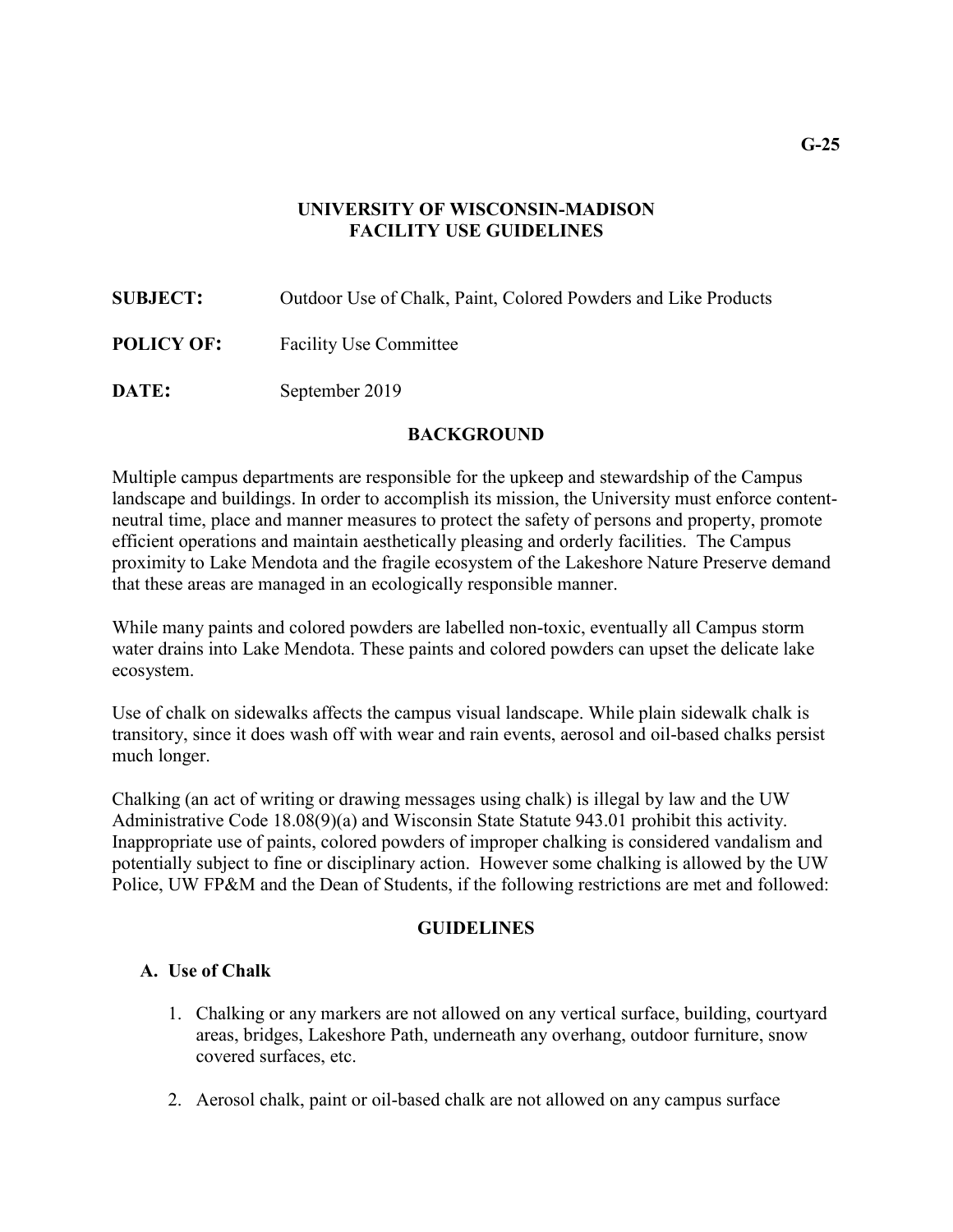# **UNIVERSITY OF WISCONSIN-MADISON FACILITY USE GUIDELINES**

| <b>SUBJECT:</b>   | Outdoor Use of Chalk, Paint, Colored Powders and Like Products |
|-------------------|----------------------------------------------------------------|
| <b>POLICY OF:</b> | <b>Facility Use Committee</b>                                  |
| DATE:             | September 2019                                                 |

#### **BACKGROUND**

Multiple campus departments are responsible for the upkeep and stewardship of the Campus landscape and buildings. In order to accomplish its mission, the University must enforce contentneutral time, place and manner measures to protect the safety of persons and property, promote efficient operations and maintain aesthetically pleasing and orderly facilities. The Campus proximity to Lake Mendota and the fragile ecosystem of the Lakeshore Nature Preserve demand that these areas are managed in an ecologically responsible manner.

While many paints and colored powders are labelled non-toxic, eventually all Campus storm water drains into Lake Mendota. These paints and colored powders can upset the delicate lake ecosystem.

Use of chalk on sidewalks affects the campus visual landscape. While plain sidewalk chalk is transitory, since it does wash off with wear and rain events, aerosol and oil-based chalks persist much longer.

Chalking (an act of writing or drawing messages using chalk) is illegal by law and the UW Administrative Code 18.08(9)(a) and Wisconsin State Statute 943.01 prohibit this activity. Inappropriate use of paints, colored powders of improper chalking is considered vandalism and potentially subject to fine or disciplinary action. However some chalking is allowed by the UW Police, UW FP&M and the Dean of Students, if the following restrictions are met and followed:

#### **GUIDELINES**

#### **A. Use of Chalk**

- 1. Chalking or any markers are not allowed on any vertical surface, building, courtyard areas, bridges, Lakeshore Path, underneath any overhang, outdoor furniture, snow covered surfaces, etc.
- 2. Aerosol chalk, paint or oil-based chalk are not allowed on any campus surface